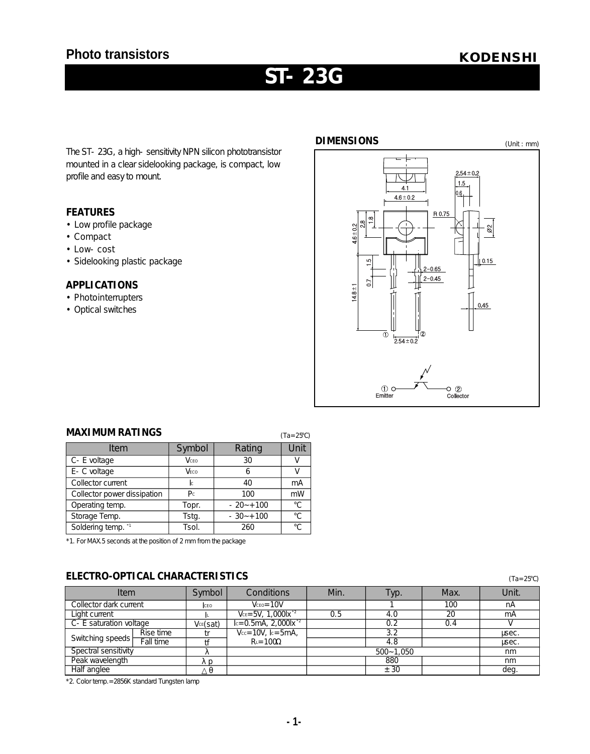# **Photo transistors** *KODENSHI*

# ST- 23G

The ST-23G, a high-sensitivity NPN silicon phototransistor mounted in a clear sidelooking package, is compact, low profile and easy to mount.

#### **FEATURES**

- •Low profile package
- Compact
- Low- cost
- •Sidelooking plastic package

### **APPLICATIONS**

- $\cdot$  Photoin terrup ters
- Optical switches



| <b>MAXIMUM RATINGS</b><br>$(Ta = 25)$ |                |              |      |  |  |  |  |
|---------------------------------------|----------------|--------------|------|--|--|--|--|
| Item                                  | Symbol         | Rating       | Unit |  |  |  |  |
| C- E voltage                          | VCEO           | 30           |      |  |  |  |  |
| E - C voltage                         | VECO           | Ь            |      |  |  |  |  |
| Collector current                     | <b>l</b> c     | 40           | mA   |  |  |  |  |
| Collector power dissipation           | P <sub>c</sub> | 100          | mW   |  |  |  |  |
| Operating temp.                       | Topr.          | $-20 - +100$ |      |  |  |  |  |
| Storage Temp.                         | Tstg.          | $-30 - +100$ |      |  |  |  |  |
| Soldering temp. "                     | Tsol.          | 260          |      |  |  |  |  |

**MAXIMUM RATINGS**

\*1. For MAX.5 seconds at the position of 2 mm from the package

## **ELECTRO-OPTICAL CHARACTERISTICS** (Ta=25)

| I <sub>tem</sub>         |           | Symbol   | Conditions                          | Min.          | Tур. | Max. | Unit. |
|--------------------------|-----------|----------|-------------------------------------|---------------|------|------|-------|
| Collector dark current   |           | ICEO.    | $Vceo = 10V$                        |               |      | 100  | nA    |
| Liaht current            |           |          | $V_{CE} = 5V, 1,0001x^{-2}$         | 0.5           | 4. O | 20   | mA    |
| C - E saturation voltage |           | VcE(sat) | $c = 0.5mA$ , 2,000lx <sup>-2</sup> |               | 0. 2 |      |       |
| Switching speeds         | Rise time |          | $Vcc = 10V$ . $c = 5mA$ .           |               | 3.2  |      | usec. |
|                          | Fall time |          | $R = 100$                           |               | 4.8  |      | usec. |
| Spectral sensitivity     |           |          |                                     | $500 - 1.050$ |      | nm   |       |
| Peak wavelength          |           |          |                                     |               | 880  |      | nm    |
| Half anglee              |           |          |                                     |               | ± 30 |      | deg   |

\*2. Color temp.=2856K standard Tungsten lamp